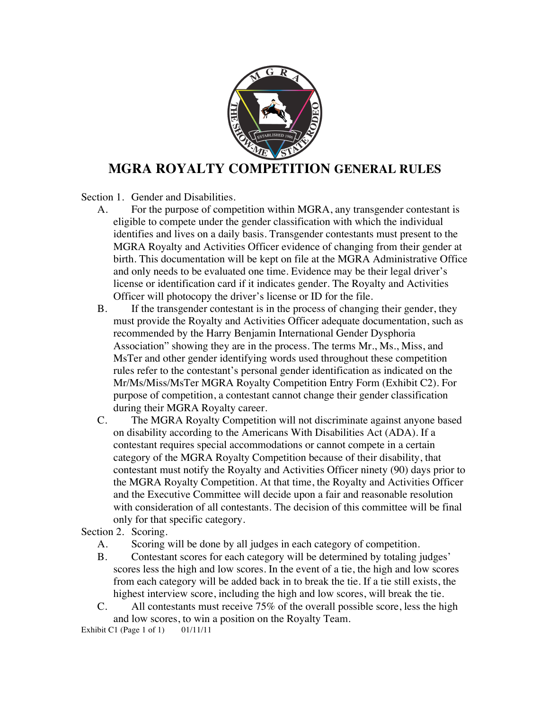

## **MGRA ROYALTY COMPETITION GENERAL RULES**

Section 1. Gender and Disabilities.

- A. For the purpose of competition within MGRA, any transgender contestant is eligible to compete under the gender classification with which the individual identifies and lives on a daily basis. Transgender contestants must present to the MGRA Royalty and Activities Officer evidence of changing from their gender at birth. This documentation will be kept on file at the MGRA Administrative Office and only needs to be evaluated one time. Evidence may be their legal driver's license or identification card if it indicates gender. The Royalty and Activities Officer will photocopy the driver's license or ID for the file.
- B. If the transgender contestant is in the process of changing their gender, they must provide the Royalty and Activities Officer adequate documentation, such as recommended by the Harry Benjamin International Gender Dysphoria Association" showing they are in the process. The terms Mr., Ms., Miss, and MsTer and other gender identifying words used throughout these competition rules refer to the contestant's personal gender identification as indicated on the Mr/Ms/Miss/MsTer MGRA Royalty Competition Entry Form (Exhibit C2). For purpose of competition, a contestant cannot change their gender classification during their MGRA Royalty career.
- C. The MGRA Royalty Competition will not discriminate against anyone based on disability according to the Americans With Disabilities Act (ADA). If a contestant requires special accommodations or cannot compete in a certain category of the MGRA Royalty Competition because of their disability, that contestant must notify the Royalty and Activities Officer ninety (90) days prior to the MGRA Royalty Competition. At that time, the Royalty and Activities Officer and the Executive Committee will decide upon a fair and reasonable resolution with consideration of all contestants. The decision of this committee will be final only for that specific category.

Section 2. Scoring.

- A. Scoring will be done by all judges in each category of competition.
- B. Contestant scores for each category will be determined by totaling judges' scores less the high and low scores. In the event of a tie, the high and low scores from each category will be added back in to break the tie. If a tie still exists, the highest interview score, including the high and low scores, will break the tie.
- C. All contestants must receive 75% of the overall possible score, less the high and low scores, to win a position on the Royalty Team.

Exhibit C1 (Page 1 of 1) 01/11/11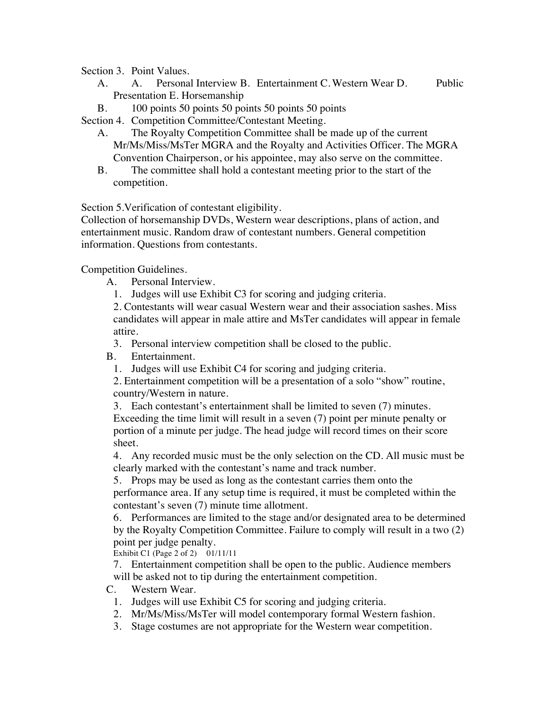Section 3. Point Values.

- A. A. Personal Interview B. Entertainment C. Western Wear D. Public Presentation E. Horsemanship
- B. 100 points 50 points 50 points 50 points 50 points

Section 4. Competition Committee/Contestant Meeting.

- A. The Royalty Competition Committee shall be made up of the current Mr/Ms/Miss/MsTer MGRA and the Royalty and Activities Officer. The MGRA Convention Chairperson, or his appointee, may also serve on the committee.
- B. The committee shall hold a contestant meeting prior to the start of the competition.

Section 5.Verification of contestant eligibility.

Collection of horsemanship DVDs, Western wear descriptions, plans of action, and entertainment music. Random draw of contestant numbers. General competition information. Questions from contestants.

Competition Guidelines.

A. Personal Interview.

1. Judges will use Exhibit C3 for scoring and judging criteria.

2. Contestants will wear casual Western wear and their association sashes. Miss candidates will appear in male attire and MsTer candidates will appear in female attire.

3. Personal interview competition shall be closed to the public.

B. Entertainment.

1. Judges will use Exhibit C4 for scoring and judging criteria.

2. Entertainment competition will be a presentation of a solo "show" routine, country/Western in nature.

3. Each contestant's entertainment shall be limited to seven (7) minutes.

Exceeding the time limit will result in a seven (7) point per minute penalty or portion of a minute per judge. The head judge will record times on their score sheet.

4. Any recorded music must be the only selection on the CD. All music must be clearly marked with the contestant's name and track number.

5. Props may be used as long as the contestant carries them onto the

performance area. If any setup time is required, it must be completed within the contestant's seven (7) minute time allotment.

6. Performances are limited to the stage and/or designated area to be determined by the Royalty Competition Committee. Failure to comply will result in a two (2) point per judge penalty.

Exhibit C1 (Page 2 of 2) 01/11/11

7. Entertainment competition shall be open to the public. Audience members will be asked not to tip during the entertainment competition.

C. Western Wear.

- 1. Judges will use Exhibit C5 for scoring and judging criteria.
- 2. Mr/Ms/Miss/MsTer will model contemporary formal Western fashion.
- 3. Stage costumes are not appropriate for the Western wear competition.